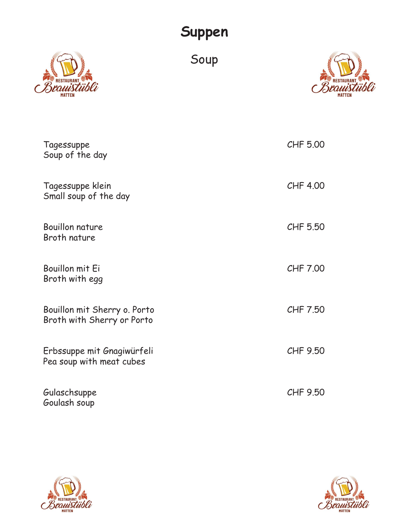#### Suppen



Soup



| Tagessuppe<br>Soup of the day                              | CHF 5.00 |
|------------------------------------------------------------|----------|
| Tagessuppe klein<br>Small soup of the day                  | CHF 4.00 |
| <b>Bouillon nature</b><br>Broth nature                     | CHF 5.50 |
| Bouillon mit Ei<br>Broth with egg                          | CHF 7.00 |
| Bouillon mit Sherry o. Porto<br>Broth with Sherry or Porto | CHF 7.50 |
| Erbssuppe mit Gnagiwürfeli<br>Pea soup with meat cubes     | CHF 9.50 |
| Gulaschsuppe<br>Goulash soup                               | CHF 9.50 |



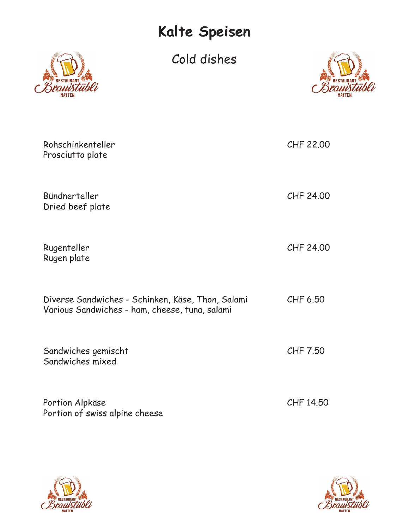# Kalte Speisen

Cold dishes



| Rohschinkenteller<br>Prosciutto plate                                                               | CHF 22.00 |
|-----------------------------------------------------------------------------------------------------|-----------|
| Bündnerteller<br>Dried beef plate                                                                   | CHF 24.00 |
| Rugenteller<br>Rugen plate                                                                          | CHF 24.00 |
| Diverse Sandwiches - Schinken, Käse, Thon, Salami<br>Various Sandwiches - ham, cheese, tuna, salami | CHF 6.50  |
| Sandwiches gemischt<br>Sandwiches mixed                                                             | CHF 7.50  |
| Portion Alpkäse<br>Portion of swiss alpine cheese                                                   | CHF 14.50 |

![](_page_1_Picture_4.jpeg)

![](_page_1_Picture_5.jpeg)

![](_page_1_Picture_6.jpeg)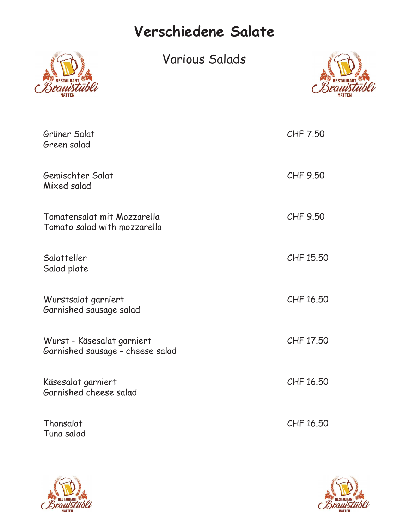## Verschiedene Salate

![](_page_2_Picture_1.jpeg)

Various Salads

![](_page_2_Picture_3.jpeg)

| Grüner Salat<br>Green salad                                    | CHF 7.50  |
|----------------------------------------------------------------|-----------|
| Gemischter Salat<br>Mixed salad                                | CHF 9.50  |
| Tomatensalat mit Mozzarella<br>Tomato salad with mozzarella    | CHF 9.50  |
| Salatteller<br>Salad plate                                     | CHF 15.50 |
| Wurstsalat garniert<br>Garnished sausage salad                 | CHF 16.50 |
| Wurst - Käsesalat garniert<br>Garnished sausage - cheese salad | CHF 17.50 |
| Käsesalat garniert<br>Garnished cheese salad                   | CHF 16.50 |
| Thonsalat<br>Tuna salad                                        | CHF 16.50 |

![](_page_2_Picture_5.jpeg)

![](_page_2_Picture_6.jpeg)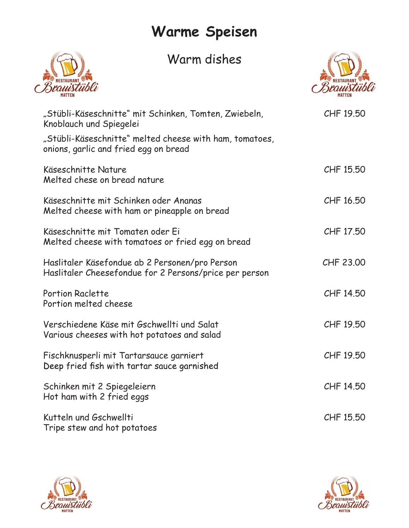## Warme Speisen

#### Warm dishes

![](_page_3_Picture_2.jpeg)

![](_page_3_Picture_3.jpeg)

| "Stübli-Käseschnitte" mit Schinken, Tomten, Zwiebeln,<br>Knoblauch und Spiegelei<br>"Stübli-Käseschnitte" melted cheese with ham, tomatoes,<br>onions, garlic and fried egg on bread | CHF 19.50 |
|--------------------------------------------------------------------------------------------------------------------------------------------------------------------------------------|-----------|
| Käseschnitte Nature<br>Melted chese on bread nature                                                                                                                                  | CHF 15.50 |
| Käseschnitte mit Schinken oder Ananas<br>Melted cheese with ham or pineapple on bread                                                                                                | CHF 16.50 |
| Käseschnitte mit Tomaten oder Ei<br>Melted cheese with tomatoes or fried egg on bread                                                                                                | CHF 17.50 |
| Haslitaler Käsefondue ab 2 Personen/pro Person<br>Haslitaler Cheesefondue for 2 Persons/price per person                                                                             | CHF 23.00 |
| <b>Portion Raclette</b><br>Portion melted cheese                                                                                                                                     | CHF 14.50 |
| Verschiedene Käse mit Gschwellti und Salat<br>Various cheeses with hot potatoes and salad                                                                                            | CHF 19.50 |
| Fischknusperli mit Tartarsauce garniert<br>Deep fried fish with tartar sauce garnished                                                                                               | CHF 19.50 |
| Schinken mit 2 Spiegeleiern<br>Hot ham with 2 fried eggs                                                                                                                             | CHF 14.50 |
| Kutteln und Gschwellti<br>Tripe stew and hot potatoes                                                                                                                                | CHF 15.50 |
|                                                                                                                                                                                      |           |

![](_page_3_Picture_5.jpeg)

![](_page_3_Picture_6.jpeg)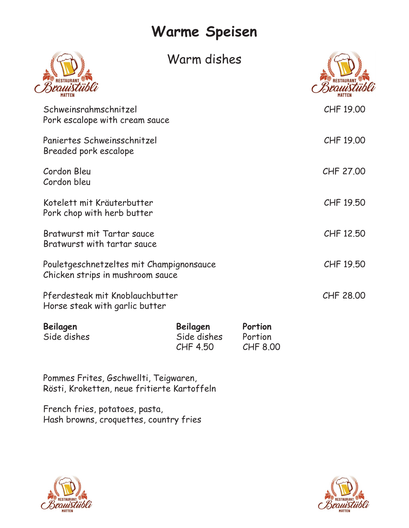## Warme Speisen

|                                                                              | Warm dishes                         |                                |           |
|------------------------------------------------------------------------------|-------------------------------------|--------------------------------|-----------|
| Schweinsrahmschnitzel<br>Pork escalope with cream sauce                      |                                     |                                | CHF 19.00 |
| Paniertes Schweinsschnitzel<br>Breaded pork escalope                         |                                     |                                | CHF 19.00 |
| Cordon Bleu<br>Cordon bleu                                                   |                                     |                                | CHF 27.00 |
| Kotelett mit Kräuterbutter<br>Pork chop with herb butter                     |                                     |                                | CHF 19.50 |
| Bratwurst mit Tartar sauce<br>Bratwurst with tartar sauce                    |                                     |                                | CHF 12.50 |
| Pouletgeschnetzeltes mit Champignonsauce<br>Chicken strips in mushroom sauce |                                     |                                | CHF 19.50 |
| Pferdesteak mit Knoblauchbutter<br>Horse steak with garlic butter            |                                     |                                | CHF 28.00 |
| Beilagen<br>Side dishes                                                      | Beilagen<br>Side dishes<br>CHF 4.50 | Portion<br>Portion<br>CHF 8.00 |           |
| Pommes Frites, Gschwellti, Teigwaren,                                        |                                     |                                |           |

| Beilagen    | Beilagen    | Portion  |
|-------------|-------------|----------|
| Side dishes | Side dishes | Portion  |
|             | CHF 4.50    | CHF 8.00 |

Pommes Frites, Gschwellti, Teigwaren, Rösti, Kroketten, neue fritierte Kartoffeln

French fries, potatoes, pasta, Hash browns, croquettes, country fries

![](_page_4_Picture_5.jpeg)

![](_page_4_Picture_6.jpeg)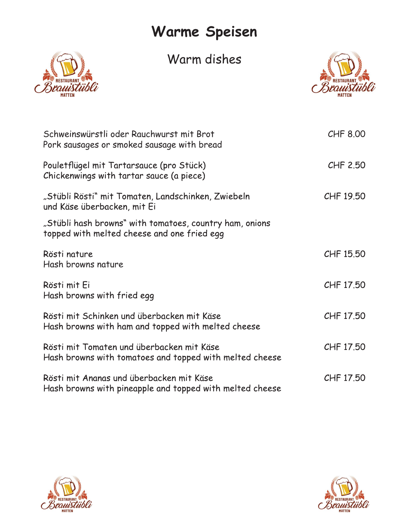## Warme Speisen

Warm dishes

![](_page_5_Picture_2.jpeg)

![](_page_5_Picture_3.jpeg)

| Schweinswürstli oder Rauchwurst mit Brot<br>Pork sausages or smoked sausage with bread                 | CHF 8.00  |
|--------------------------------------------------------------------------------------------------------|-----------|
| Pouletflügel mit Tartarsauce (pro Stück)<br>Chickenwings with tartar sauce (a piece)                   | CHF 2.50  |
| "Stübli Rösti" mit Tomaten, Landschinken, Zwiebeln<br>und Käse überbacken, mit Ei                      | CHF 19.50 |
| "Stübli hash browns" with tomatoes, country ham, onions<br>topped with melted cheese and one fried egg |           |
| Rösti nature<br>Hash browns nature                                                                     | CHF 15.50 |
| Rösti mit Ei<br>Hash browns with fried egg                                                             | CHF 17.50 |
| Rösti mit Schinken und überbacken mit Käse<br>Hash browns with ham and topped with melted cheese       | CHF 17.50 |
| Rösti mit Tomaten und überbacken mit Käse<br>Hash browns with tomatoes and topped with melted cheese   | CHF 17.50 |
| Rösti mit Ananas und überbacken mit Käse<br>Hash browns with pineapple and topped with melted cheese   | CHF 17.50 |

![](_page_5_Picture_5.jpeg)

![](_page_5_Picture_6.jpeg)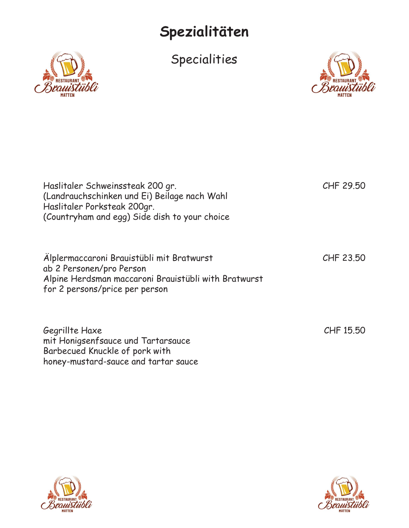## Spezialitäten

![](_page_6_Picture_2.jpeg)

![](_page_6_Picture_3.jpeg)

|                                                                                                         | Spezialitäten                                                                                 |           |
|---------------------------------------------------------------------------------------------------------|-----------------------------------------------------------------------------------------------|-----------|
|                                                                                                         | Specialities                                                                                  |           |
|                                                                                                         |                                                                                               |           |
| Haslitaler Schweinssteak 200 gr.<br>Haslitaler Porksteak 200gr.                                         | (Landrauchschinken und Ei) Beilage nach Wahl<br>(Countryham and egg) Side dish to your choice | CHF 29.50 |
| Älplermaccaroni Brauistübli mit Bratwurst<br>ab 2 Personen/pro Person<br>for 2 persons/price per person | Alpine Herdsman maccaroni Brauistübli with Bratwurst                                          | CHF 23.50 |
| Gegrillte Haxe<br>mit Honigsenfsauce und Tartarsauce<br>Barbecued Knuckle of pork with                  |                                                                                               | CHF 15.50 |

![](_page_6_Picture_5.jpeg)

honey-mustard-sauce and tartar sauce

![](_page_6_Picture_6.jpeg)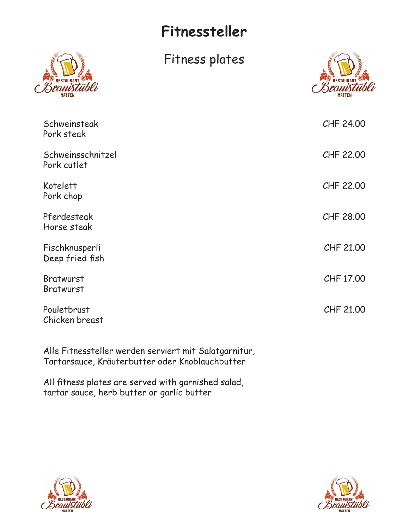## Fitnessteller

![](_page_7_Picture_1.jpeg)

![](_page_7_Picture_3.jpeg)

|                                   | Fitnessteller                                         |           |
|-----------------------------------|-------------------------------------------------------|-----------|
|                                   | Fitness plates                                        |           |
| Schweinsteak<br>Pork steak        |                                                       | CHF 24.00 |
| Schweinsschnitzel<br>Pork cutlet  |                                                       | CHF 22.00 |
| Kotelett<br>Pork chop             |                                                       | CHF 22.00 |
| Pferdesteak<br>Horse steak        |                                                       | CHF 28.00 |
| Fischknusperli<br>Deep fried fish |                                                       | CHF 21.00 |
| <b>Bratwurst</b><br>Bratwurst     |                                                       | CHF 17.00 |
| Pouletbrust<br>Chicken breast     |                                                       | CHF 21.00 |
|                                   | Alle Fitnessteller werden serviert mit Salatgarnitur, |           |

Alle Fitnessteller werden serviert mit Salatgarnitur, Tartarsauce, Kräuterbutter oder Knoblauchbutter

All fitness plates are served with garnished salad, tartar sauce, herb butter or garlic butter

![](_page_7_Picture_7.jpeg)

![](_page_7_Picture_8.jpeg)